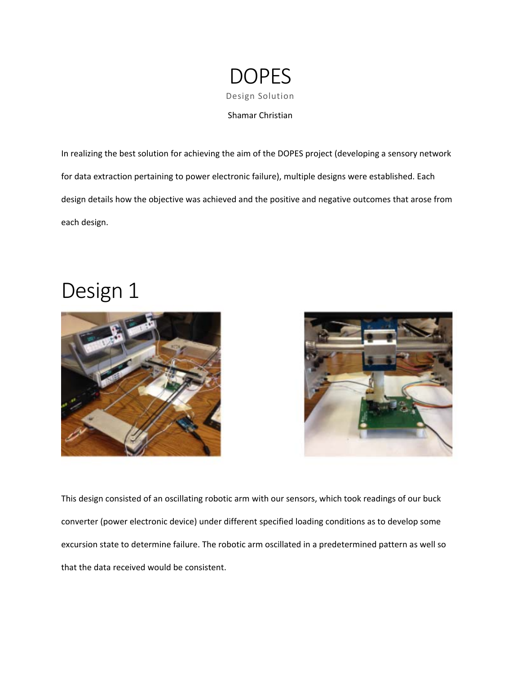

In realizing the best solution for achieving the aim of the DOPES project (developing a sensory network for data extraction pertaining to power electronic failure), multiple designs were established. Each design details how the objective was achieved and the positive and negative outcomes that arose from each design.

## Design 1





This design consisted of an oscillating robotic arm with our sensors, which took readings of our buck converter (power electronic device) under different specified loading conditions as to develop some excursion state to determine failure. The robotic arm oscillated in a predetermined pattern as well so that the data received would be consistent.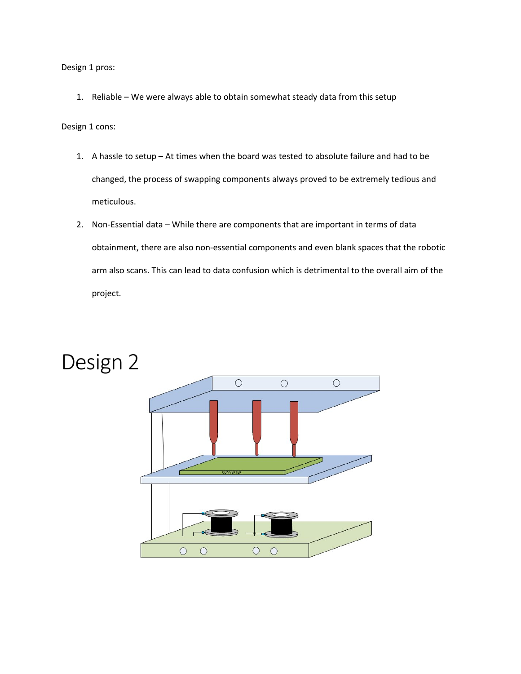Design 1 pros:

1. Reliable – We were always able to obtain somewhat steady data from this setup

Design 1 cons:

- 1. A hassle to setup At times when the board was tested to absolute failure and had to be changed, the process of swapping components always proved to be extremely tedious and meticulous.
- 2. Non-Essential data While there are components that are important in terms of data obtainment, there are also non-essential components and even blank spaces that the robotic arm also scans. This can lead to data confusion which is detrimental to the overall aim of the project.



### Design 2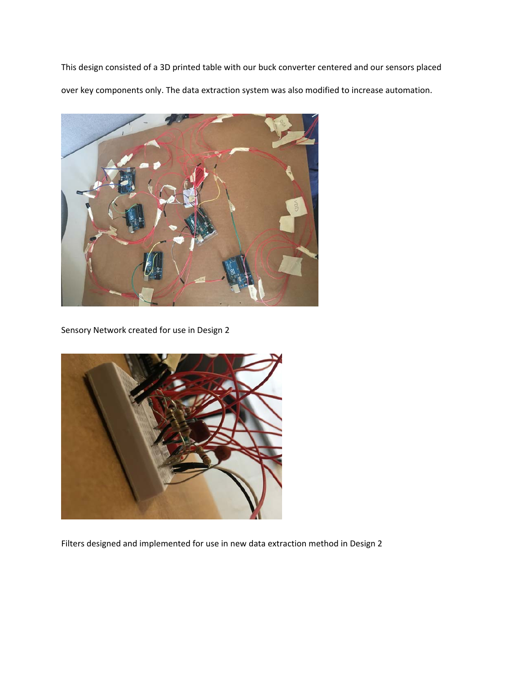This design consisted of a 3D printed table with our buck converter centered and our sensors placed over key components only. The data extraction system was also modified to increase automation.



Sensory Network created for use in Design 2



Filters designed and implemented for use in new data extraction method in Design 2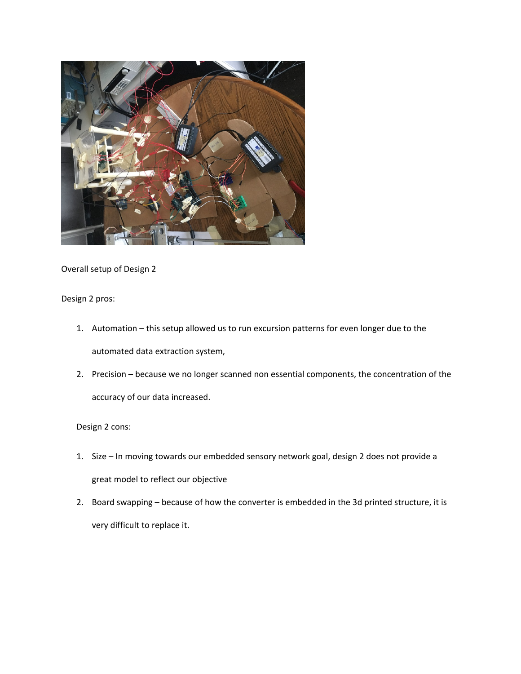

Overall setup of Design 2

Design 2 pros:

- 1. Automation this setup allowed us to run excursion patterns for even longer due to the automated data extraction system,
- 2. Precision because we no longer scanned non essential components, the concentration of the accuracy of our data increased.

#### Design 2 cons:

- 1. Size In moving towards our embedded sensory network goal, design 2 does not provide a great model to reflect our objective
- 2. Board swapping because of how the converter is embedded in the 3d printed structure, it is very difficult to replace it.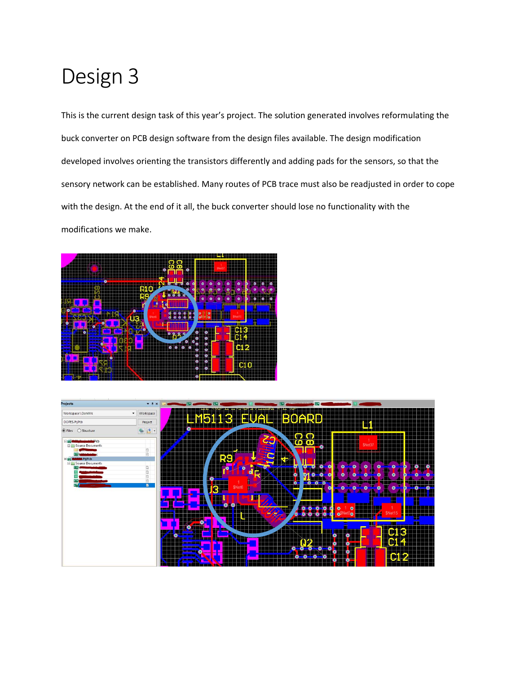# Design 3

This is the current design task of this year's project. The solution generated involves reformulating the buck converter on PCB design software from the design files available. The design modification developed involves orienting the transistors differently and adding pads for the sensors, so that the sensory network can be established. Many routes of PCB trace must also be readjusted in order to cope with the design. At the end of it all, the buck converter should lose no functionality with the modifications we make.